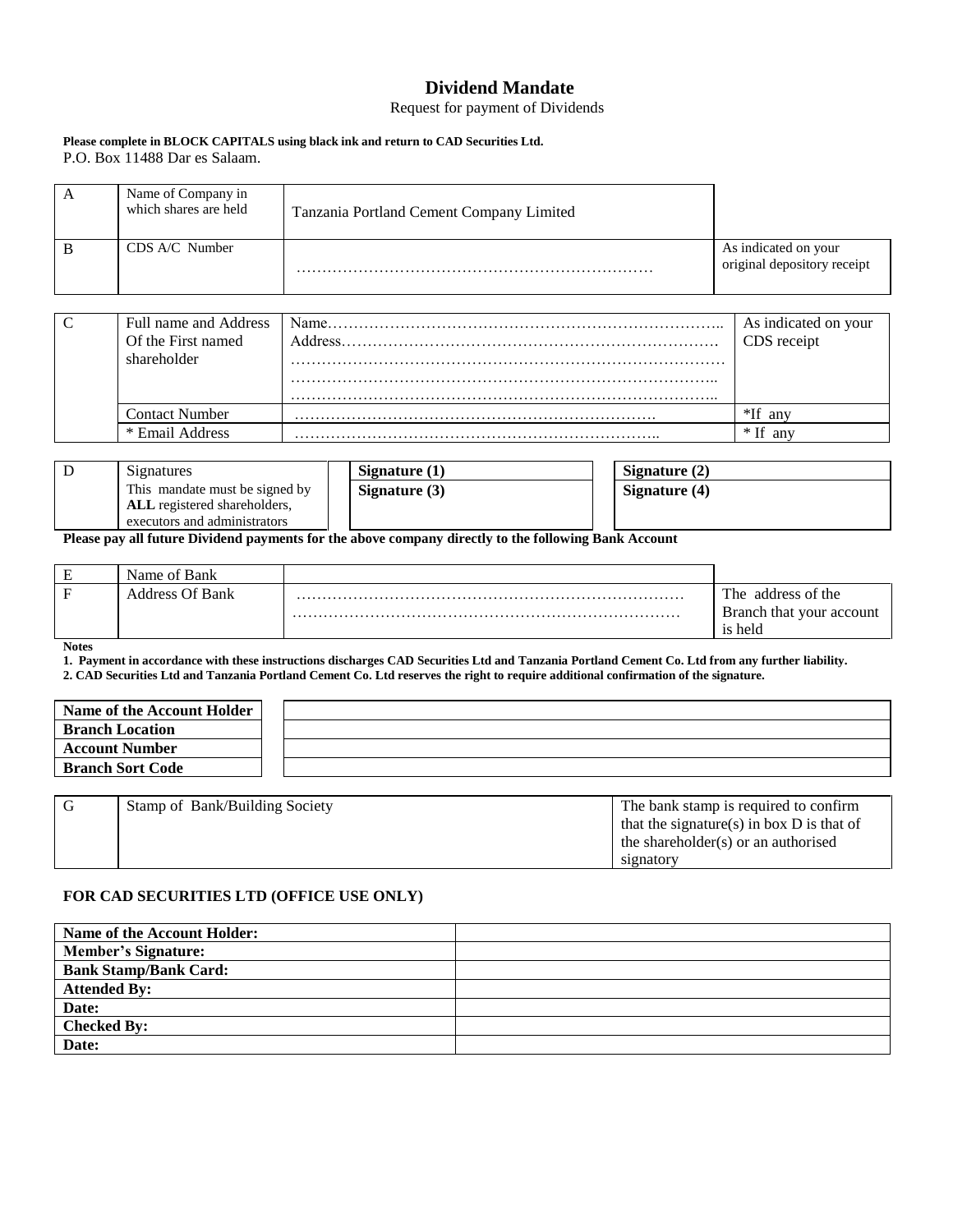### **Dividend Mandate**

Request for payment of Dividends

# **Please complete in BLOCK CAPITALS using black ink and return to CAD Securities Ltd.**

P.O. Box 11488 Dar es Salaam.

| A | Name of Company in<br>which shares are held | Tanzania Portland Cement Company Limited |                                                     |
|---|---------------------------------------------|------------------------------------------|-----------------------------------------------------|
|   | CDS A/C Number                              |                                          | As indicated on your<br>original depository receipt |

| Full name and Address<br>Of the First named | As indicated on your<br>CDS receipt |
|---------------------------------------------|-------------------------------------|
|                                             | any                                 |
|                                             |                                     |

| Signatures                                                     | Signature $(1)$ | Signature (2) |
|----------------------------------------------------------------|-----------------|---------------|
| This mandate must be signed by<br>ALL registered shareholders, | Signature $(3)$ | Signature (4) |
| executors and administrators                                   |                 |               |

**Please pay all future Dividend payments for the above company directly to the following Bank Account**

| Е            | Name of Bank           |                                                           |
|--------------|------------------------|-----------------------------------------------------------|
| Е            | <b>Address Of Bank</b> | The address of the<br>Branch that your account<br>is held |
| <b>Notes</b> |                        |                                                           |

**1. Payment in accordance with these instructions discharges CAD Securities Ltd and Tanzania Portland Cement Co. Ltd from any further liability. 2. CAD Securities Ltd and Tanzania Portland Cement Co. Ltd reserves the right to require additional confirmation of the signature.**

| Name of the Account Holder |  |
|----------------------------|--|
| <b>Branch Location</b>     |  |
| <b>Account Number</b>      |  |
| <b>Branch Sort Code</b>    |  |

| Stamp of Bank/Building Society | The bank stamp is required to confirm       |
|--------------------------------|---------------------------------------------|
|                                | that the signature(s) in box $D$ is that of |
|                                | the shareholder(s) or an authorised         |
|                                | signatory                                   |

### **FOR CAD SECURITIES LTD (OFFICE USE ONLY)**

| Name of the Account Holder:  |  |
|------------------------------|--|
| <b>Member's Signature:</b>   |  |
| <b>Bank Stamp/Bank Card:</b> |  |
| <b>Attended By:</b>          |  |
| Date:                        |  |
| <b>Checked By:</b>           |  |
| Date:                        |  |